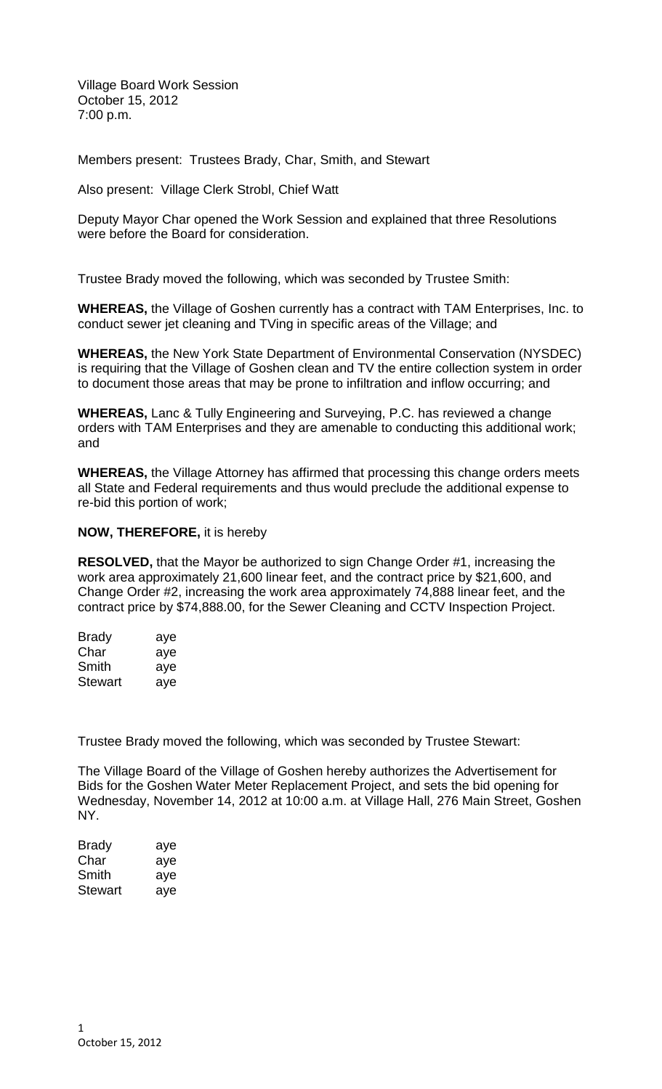Village Board Work Session October 15, 2012 7:00 p.m.

Members present: Trustees Brady, Char, Smith, and Stewart

Also present: Village Clerk Strobl, Chief Watt

Deputy Mayor Char opened the Work Session and explained that three Resolutions were before the Board for consideration.

Trustee Brady moved the following, which was seconded by Trustee Smith:

**WHEREAS,** the Village of Goshen currently has a contract with TAM Enterprises, Inc. to conduct sewer jet cleaning and TVing in specific areas of the Village; and

**WHEREAS,** the New York State Department of Environmental Conservation (NYSDEC) is requiring that the Village of Goshen clean and TV the entire collection system in order to document those areas that may be prone to infiltration and inflow occurring; and

**WHEREAS,** Lanc & Tully Engineering and Surveying, P.C. has reviewed a change orders with TAM Enterprises and they are amenable to conducting this additional work; and

**WHEREAS,** the Village Attorney has affirmed that processing this change orders meets all State and Federal requirements and thus would preclude the additional expense to re-bid this portion of work;

## **NOW, THEREFORE,** it is hereby

**RESOLVED,** that the Mayor be authorized to sign Change Order #1, increasing the work area approximately 21,600 linear feet, and the contract price by \$21,600, and Change Order #2, increasing the work area approximately 74,888 linear feet, and the contract price by \$74,888.00, for the Sewer Cleaning and CCTV Inspection Project.

| <b>Brady</b> | aye |
|--------------|-----|
| Char         | aye |
| Smith        | aye |
| Stewart      | aye |

Trustee Brady moved the following, which was seconded by Trustee Stewart:

The Village Board of the Village of Goshen hereby authorizes the Advertisement for Bids for the Goshen Water Meter Replacement Project, and sets the bid opening for Wednesday, November 14, 2012 at 10:00 a.m. at Village Hall, 276 Main Street, Goshen NY.

| <b>Brady</b>   | aye |
|----------------|-----|
| Char           | aye |
| Smith          | aye |
| <b>Stewart</b> | aye |